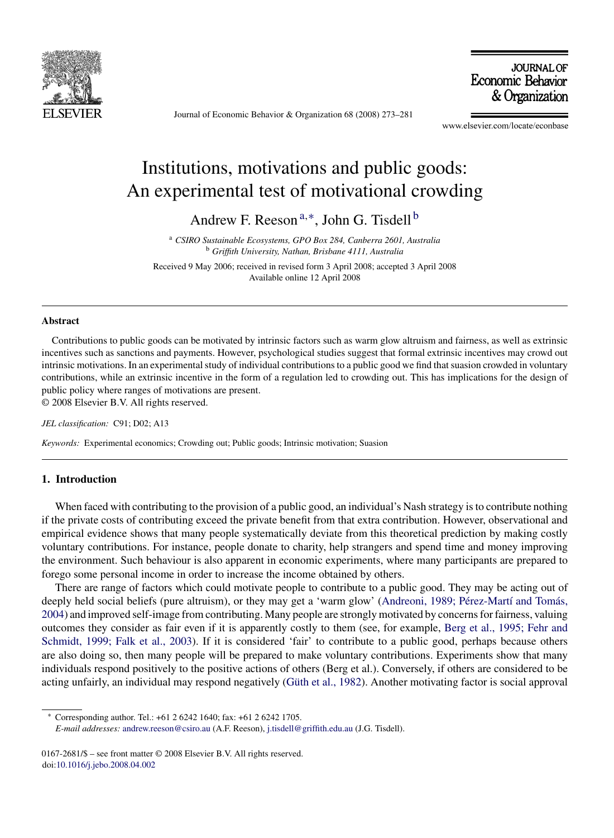

Journal of Economic Behavior & Organization 68 (2008) 273–281

**JOURNAL OF** Economic Behavior & Organization

www.elsevier.com/locate/econbase

## Institutions, motivations and public goods: An experimental test of motivational crowding

Andrew F. Reeson<sup>a,\*</sup>, John G. Tisdell<sup>b</sup>

<sup>a</sup> *CSIRO Sustainable Ecosystems, GPO Box 284, Canberra 2601, Australia* <sup>b</sup> *Griffith University, Nathan, Brisbane 4111, Australia*

Received 9 May 2006; received in revised form 3 April 2008; accepted 3 April 2008 Available online 12 April 2008

## **Abstract**

Contributions to public goods can be motivated by intrinsic factors such as warm glow altruism and fairness, as well as extrinsic incentives such as sanctions and payments. However, psychological studies suggest that formal extrinsic incentives may crowd out intrinsic motivations. In an experimental study of individual contributions to a public good we find that suasion crowded in voluntary contributions, while an extrinsic incentive in the form of a regulation led to crowding out. This has implications for the design of public policy where ranges of motivations are present. © 2008 Elsevier B.V. All rights reserved.

*JEL classification:* C91; D02; A13

*Keywords:* Experimental economics; Crowding out; Public goods; Intrinsic motivation; Suasion

## **1. Introduction**

When faced with contributing to the provision of a public good, an individual's Nash strategy is to contribute nothing if the private costs of contributing exceed the private benefit from that extra contribution. However, observational and empirical evidence shows that many people systematically deviate from this theoretical prediction by making costly voluntary contributions. For instance, people donate to charity, help strangers and spend time and money improving the environment. Such behaviour is also apparent in economic experiments, where many participants are prepared to forego some personal income in order to increase the income obtained by others.

There are range of factors which could motivate people to contribute to a public good. They may be acting out of deeply held social beliefs (pure altruism), or they may get a 'warm glow' (Andreoni, 1989; Pérez-Martí and Tomás, [2004\) a](#page--1-0)nd improved self-image from contributing. Many people are strongly motivated by concerns for fairness, valuing outcomes they consider as fair even if it is apparently costly to them (see, for example, [Berg et al., 1995; Fehr and](#page--1-0) [Schmidt, 1999; Falk et al., 2003\).](#page--1-0) If it is considered 'fair' to contribute to a public good, perhaps because others are also doing so, then many people will be prepared to make voluntary contributions. Experiments show that many individuals respond positively to the positive actions of others (Berg et al.). Conversely, if others are considered to be acting unfairly, an individual may respond negatively (Güth et al., 1982). Another motivating factor is social approval

∗ Corresponding author. Tel.: +61 2 6242 1640; fax: +61 2 6242 1705.

*E-mail addresses:* [andrew.reeson@csiro.au](mailto:andrew.reeson@csiro.au) (A.F. Reeson), [j.tisdell@griffith.edu.au](mailto:j.tisdell@griffith.edu.au) (J.G. Tisdell).

<sup>0167-2681/\$ –</sup> see front matter © 2008 Elsevier B.V. All rights reserved. doi:[10.1016/j.jebo.2008.04.002](dx.doi.org/10.1016/j.jebo.2008.04.002)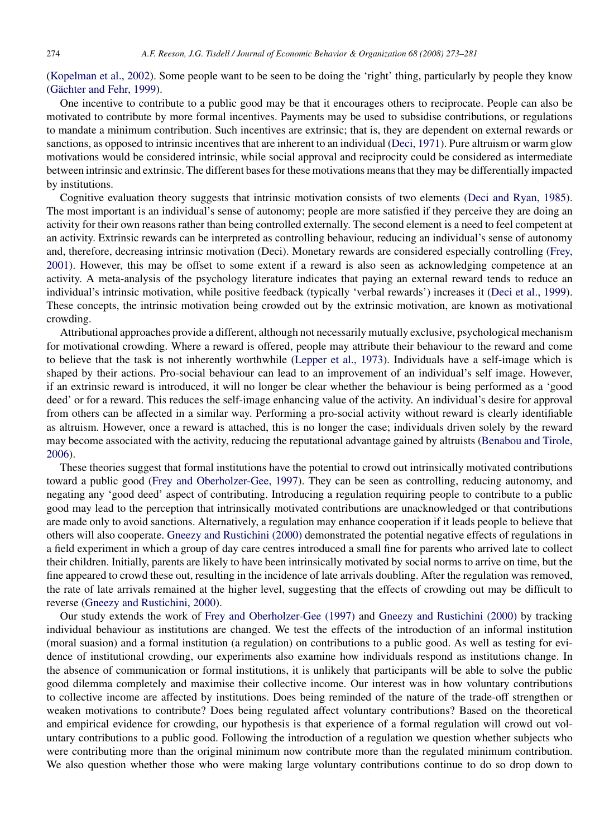([Kopelman et al., 2002\).](#page--1-0) Some people want to be seen to be doing the 'right' thing, particularly by people they know (Gächter and Fehr, 1999).

One incentive to contribute to a public good may be that it encourages others to reciprocate. People can also be motivated to contribute by more formal incentives. Payments may be used to subsidise contributions, or regulations to mandate a minimum contribution. Such incentives are extrinsic; that is, they are dependent on external rewards or sanctions, as opposed to intrinsic incentives that are inherent to an individual [\(Deci, 1971\).](#page--1-0) Pure altruism or warm glow motivations would be considered intrinsic, while social approval and reciprocity could be considered as intermediate between intrinsic and extrinsic. The different bases for these motivations means that they may be differentially impacted by institutions.

Cognitive evaluation theory suggests that intrinsic motivation consists of two elements ([Deci and Ryan, 1985\).](#page--1-0) The most important is an individual's sense of autonomy; people are more satisfied if they perceive they are doing an activity for their own reasons rather than being controlled externally. The second element is a need to feel competent at an activity. Extrinsic rewards can be interpreted as controlling behaviour, reducing an individual's sense of autonomy and, therefore, decreasing intrinsic motivation (Deci). Monetary rewards are considered especially controlling ([Frey,](#page--1-0) [2001\).](#page--1-0) However, this may be offset to some extent if a reward is also seen as acknowledging competence at an activity. A meta-analysis of the psychology literature indicates that paying an external reward tends to reduce an individual's intrinsic motivation, while positive feedback (typically 'verbal rewards') increases it [\(Deci et al., 1999\).](#page--1-0) These concepts, the intrinsic motivation being crowded out by the extrinsic motivation, are known as motivational crowding.

Attributional approaches provide a different, although not necessarily mutually exclusive, psychological mechanism for motivational crowding. Where a reward is offered, people may attribute their behaviour to the reward and come to believe that the task is not inherently worthwhile [\(Lepper et al., 1973\).](#page--1-0) Individuals have a self-image which is shaped by their actions. Pro-social behaviour can lead to an improvement of an individual's self image. However, if an extrinsic reward is introduced, it will no longer be clear whether the behaviour is being performed as a 'good deed' or for a reward. This reduces the self-image enhancing value of the activity. An individual's desire for approval from others can be affected in a similar way. Performing a pro-social activity without reward is clearly identifiable as altruism. However, once a reward is attached, this is no longer the case; individuals driven solely by the reward may become associated with the activity, reducing the reputational advantage gained by altruists ([Benabou and Tirole,](#page--1-0) [2006\).](#page--1-0)

These theories suggest that formal institutions have the potential to crowd out intrinsically motivated contributions toward a public good ([Frey and Oberholzer-Gee, 1997\).](#page--1-0) They can be seen as controlling, reducing autonomy, and negating any 'good deed' aspect of contributing. Introducing a regulation requiring people to contribute to a public good may lead to the perception that intrinsically motivated contributions are unacknowledged or that contributions are made only to avoid sanctions. Alternatively, a regulation may enhance cooperation if it leads people to believe that others will also cooperate. [Gneezy and Rustichini \(2000\)](#page--1-0) demonstrated the potential negative effects of regulations in a field experiment in which a group of day care centres introduced a small fine for parents who arrived late to collect their children. Initially, parents are likely to have been intrinsically motivated by social norms to arrive on time, but the fine appeared to crowd these out, resulting in the incidence of late arrivals doubling. After the regulation was removed, the rate of late arrivals remained at the higher level, suggesting that the effects of crowding out may be difficult to reverse [\(Gneezy and Rustichini, 2000\).](#page--1-0)

Our study extends the work of [Frey and Oberholzer-Gee \(1997\)](#page--1-0) and [Gneezy and Rustichini \(2000\)](#page--1-0) by tracking individual behaviour as institutions are changed. We test the effects of the introduction of an informal institution (moral suasion) and a formal institution (a regulation) on contributions to a public good. As well as testing for evidence of institutional crowding, our experiments also examine how individuals respond as institutions change. In the absence of communication or formal institutions, it is unlikely that participants will be able to solve the public good dilemma completely and maximise their collective income. Our interest was in how voluntary contributions to collective income are affected by institutions. Does being reminded of the nature of the trade-off strengthen or weaken motivations to contribute? Does being regulated affect voluntary contributions? Based on the theoretical and empirical evidence for crowding, our hypothesis is that experience of a formal regulation will crowd out voluntary contributions to a public good. Following the introduction of a regulation we question whether subjects who were contributing more than the original minimum now contribute more than the regulated minimum contribution. We also question whether those who were making large voluntary contributions continue to do so drop down to